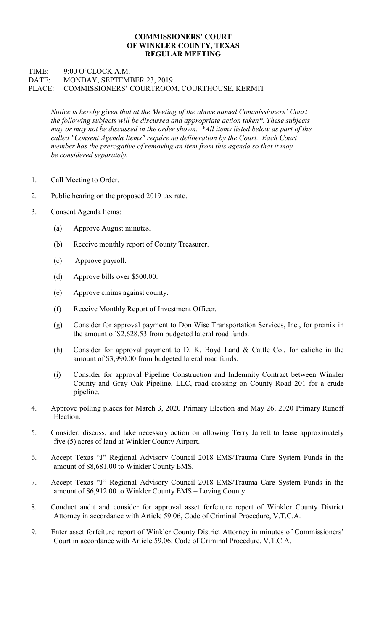## COMMISSIONERS' COURT OF WINKLER COUNTY, TEXAS REGULAR MEETING

## TIME: 9:00 O'CLOCK A.M. DATE: MONDAY, SEPTEMBER 23, 2019 PLACE: COMMISSIONERS' COURTROOM, COURTHOUSE, KERMIT

Notice is hereby given that at the Meeting of the above named Commissioners' Court the following subjects will be discussed and appropriate action taken\*. These subjects may or may not be discussed in the order shown. \*All items listed below as part of the called "Consent Agenda Items" require no deliberation by the Court. Each Court member has the prerogative of removing an item from this agenda so that it may be considered separately.

- 1. Call Meeting to Order.
- 2. Public hearing on the proposed 2019 tax rate.
- 3. Consent Agenda Items:
	- (a) Approve August minutes.
	- (b) Receive monthly report of County Treasurer.
	- (c) Approve payroll.
	- (d) Approve bills over \$500.00.
	- (e) Approve claims against county.
	- (f) Receive Monthly Report of Investment Officer.
	- (g) Consider for approval payment to Don Wise Transportation Services, Inc., for premix in the amount of \$2,628.53 from budgeted lateral road funds.
	- (h) Consider for approval payment to D. K. Boyd Land & Cattle Co., for caliche in the amount of \$3,990.00 from budgeted lateral road funds.
	- (i) Consider for approval Pipeline Construction and Indemnity Contract between Winkler County and Gray Oak Pipeline, LLC, road crossing on County Road 201 for a crude pipeline.
- 4. Approve polling places for March 3, 2020 Primary Election and May 26, 2020 Primary Runoff Election.
- 5. Consider, discuss, and take necessary action on allowing Terry Jarrett to lease approximately five (5) acres of land at Winkler County Airport.
- 6. Accept Texas "J" Regional Advisory Council 2018 EMS/Trauma Care System Funds in the amount of \$8,681.00 to Winkler County EMS.
- 7. Accept Texas "J" Regional Advisory Council 2018 EMS/Trauma Care System Funds in the amount of \$6,912.00 to Winkler County EMS – Loving County.
- 8. Conduct audit and consider for approval asset forfeiture report of Winkler County District Attorney in accordance with Article 59.06, Code of Criminal Procedure, V.T.C.A.
- 9. Enter asset forfeiture report of Winkler County District Attorney in minutes of Commissioners' Court in accordance with Article 59.06, Code of Criminal Procedure, V.T.C.A.